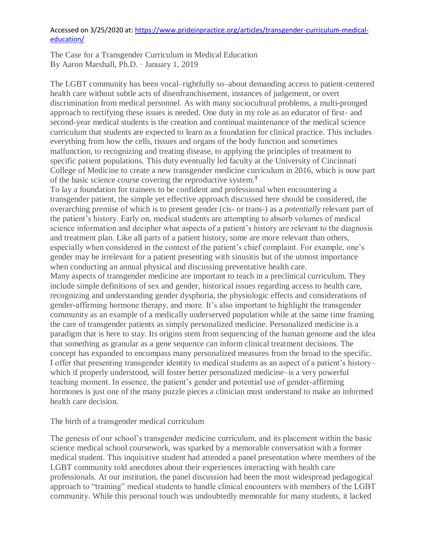## Accessed on 3/25/2020 at: [https://www.prideinpractice.org/articles/transgender-curriculum-medical](https://www.prideinpractice.org/articles/transgender-curriculum-medical-education/)[education/](https://www.prideinpractice.org/articles/transgender-curriculum-medical-education/)

The Case for a Transgender Curriculum in Medical Education By Aaron Marshall, Ph.D. · January 1, 2019

The LGBT community has been vocal–rightfully so–about demanding access to patient-centered health care without subtle acts of disenfranchisement, instances of judgement, or overt discrimination from medical personnel. As with many sociocultural problems, a multi-pronged approach to rectifying these issues is needed. One duty in my role as an educator of first- and second-year medical students is the creation and continual maintenance of the medical science curriculum that students are expected to learn as a foundation for clinical practice. This includes everything from how the cells, tissues and organs of the body function and sometimes malfunction, to recognizing and treating disease, to applying the principles of treatment to specific patient populations. This duty eventually led faculty at the University of Cincinnati College of Medicine to create a new transgender medicine curriculum in 2016, which is now part of the basic science course covering the reproductive system.**<sup>1</sup>**

To lay a foundation for trainees to be confident and professional when encountering a transgender patient, the simple yet effective approach discussed here should be considered, the overarching premise of which is to present gender (cis- or trans-) as a *potentially* relevant part of the patient's history. Early on, medical students are attempting to absorb volumes of medical science information and decipher what aspects of a patient's history are relevant to the diagnosis and treatment plan. Like all parts of a patient history, some are more relevant than others, especially when considered in the context of the patient's chief complaint. For example, one's gender may be irrelevant for a patient presenting with sinusitis but of the utmost importance when conducting an annual physical and discussing preventative health care.

Many aspects of transgender medicine are important to teach in a preclinical curriculum. They include simple definitions of sex and gender, historical issues regarding access to health care, recognizing and understanding gender dysphoria, the physiologic effects and considerations of gender-affirming hormone therapy, and more. It's also important to highlight the transgender community as an example of a medically underserved population while at the same time framing the care of transgender patients as simply personalized medicine. Personalized medicine is a paradigm that is here to stay. Its origins stem from sequencing of the human genome and the idea that something as granular as a gene sequence can inform clinical treatment decisions. The concept has expanded to encompass many personalized measures from the broad to the specific. I offer that presenting transgender identity to medical students as an aspect of a patient's history– which if properly understood, will foster better personalized medicine–is a very powerful teaching moment. In essence, the patient's gender and potential use of gender-affirming hormones is just one of the many puzzle pieces a clinician must understand to make an informed health care decision.

## The birth of a transgender medical curriculum

The genesis of our school's transgender medicine curriculum, and its placement within the basic science medical school coursework, was sparked by a memorable conversation with a former medical student. This inquisitive student had attended a panel presentation where members of the LGBT community told anecdotes about their experiences interacting with health care professionals. At our institution, the panel discussion had been the most widespread pedagogical approach to "training" medical students to handle clinical encounters with members of the LGBT community. While this personal touch was undoubtedly memorable for many students, it lacked